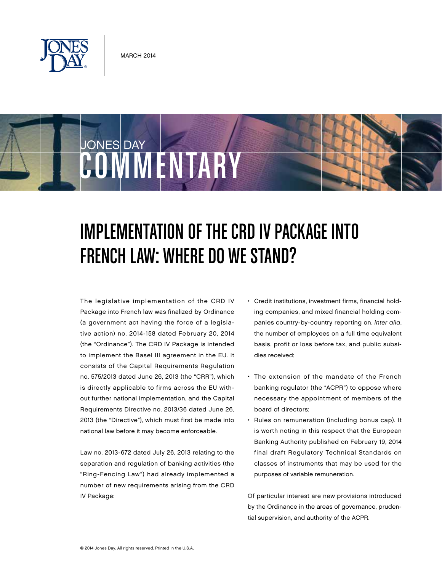

COMMENTARY

JONES DAY

# Implementation of the CRD IV Package into French Law: Where Do We Stand?

The legislative implementation of the CRD IV Package into French law was finalized by Ordinance (a government act having the force of a legislative action) no. 2014-158 dated February 20, 2014 (the "Ordinance"). The CRD IV Package is intended to implement the Basel III agreement in the EU. It consists of the Capital Requirements Regulation no. 575/2013 dated June 26, 2013 (the "CRR"), which is directly applicable to firms across the EU without further national implementation, and the Capital Requirements Directive no. 2013/36 dated June 26, 2013 (the "Directive"), which must first be made into national law before it may become enforceable.

Law no. 2013-672 dated July 26, 2013 relating to the separation and regulation of banking activities (the "Ring-Fencing Law") had already implemented a number of new requirements arising from the CRD IV Package:

- • Credit institutions, investment firms, financial holding companies, and mixed financial holding companies country-by-country reporting on, *inter alia*, the number of employees on a full time equivalent basis, profit or loss before tax, and public subsidies received;
- • The extension of the mandate of the French banking regulator (the "ACPR") to oppose where necessary the appointment of members of the board of directors;
- Rules on remuneration (including bonus cap). It is worth noting in this respect that the European Banking Authority published on February 19, 2014 final draft Regulatory Technical Standards on classes of instruments that may be used for the purposes of variable remuneration.

Of particular interest are new provisions introduced by the Ordinance in the areas of governance, prudential supervision, and authority of the ACPR.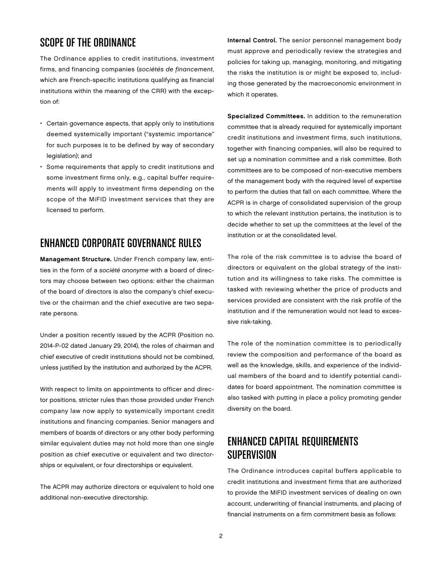## Scope of the Ordinance

The Ordinance applies to credit institutions, investment firms, and financing companies (*sociétés de financement*, which are French-specific institutions qualifying as financial institutions within the meaning of the CRR) with the exception of:

- Certain governance aspects, that apply only to institutions deemed systemically important ("systemic importance" for such purposes is to be defined by way of secondary legislation); and
- • Some requirements that apply to credit institutions and some investment firms only, e.g., capital buffer requirements will apply to investment firms depending on the scope of the MiFID investment services that they are licensed to perform.

#### Enhanced Corporate Governance Rules

Management Structure. Under French company law, entities in the form of a *société anonyme* with a board of directors may choose between two options: either the chairman of the board of directors is also the company's chief executive or the chairman and the chief executive are two separate persons.

Under a position recently issued by the ACPR (Position no. 2014-P-02 dated January 29, 2014), the roles of chairman and chief executive of credit institutions should not be combined, unless justified by the institution and authorized by the ACPR.

With respect to limits on appointments to officer and director positions, stricter rules than those provided under French company law now apply to systemically important credit institutions and financing companies. Senior managers and members of boards of directors or any other body performing similar equivalent duties may not hold more than one single position as chief executive or equivalent and two directorships or equivalent, or four directorships or equivalent.

The ACPR may authorize directors or equivalent to hold one additional non-executive directorship.

Internal Control. The senior personnel management body must approve and periodically review the strategies and policies for taking up, managing, monitoring, and mitigating the risks the institution is or might be exposed to, including those generated by the macroeconomic environment in which it operates.

Specialized Committees. In addition to the remuneration committee that is already required for systemically important credit institutions and investment firms, such institutions, together with financing companies, will also be required to set up a nomination committee and a risk committee. Both committees are to be composed of non-executive members of the management body with the required level of expertise to perform the duties that fall on each committee. Where the ACPR is in charge of consolidated supervision of the group to which the relevant institution pertains, the institution is to decide whether to set up the committees at the level of the institution or at the consolidated level.

The role of the risk committee is to advise the board of directors or equivalent on the global strategy of the institution and its willingness to take risks. The committee is tasked with reviewing whether the price of products and services provided are consistent with the risk profile of the institution and if the remuneration would not lead to excessive risk-taking.

The role of the nomination committee is to periodically review the composition and performance of the board as well as the knowledge, skills, and experience of the individual members of the board and to identify potential candidates for board appointment. The nomination committee is also tasked with putting in place a policy promoting gender diversity on the board.

## Enhanced Capital Requirements Supervision

The Ordinance introduces capital buffers applicable to credit institutions and investment firms that are authorized to provide the MiFID investment services of dealing on own account, underwriting of financial instruments, and placing of financial instruments on a firm commitment basis as follows: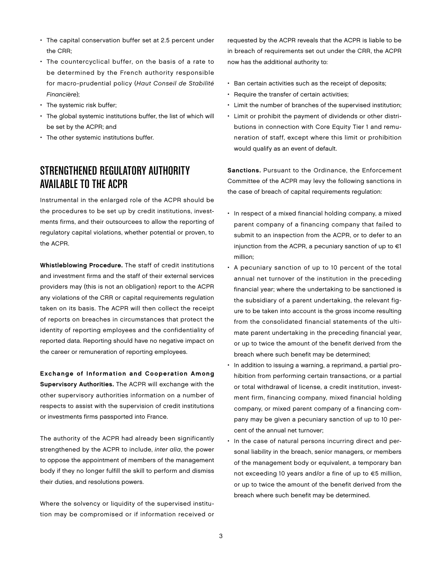- The capital conservation buffer set at 2.5 percent under the CRR;
- The countercyclical buffer, on the basis of a rate to be determined by the French authority responsible for macro-prudential policy (*Haut Conseil de Stabilité Financière*);
- The systemic risk buffer;
- The global systemic institutions buffer, the list of which will be set by the ACPR; and
- The other systemic institutions buffer.

## Strengthened Regulatory Authority Available to the ACPR

Instrumental in the enlarged role of the ACPR should be the procedures to be set up by credit institutions, investments firms, and their outsourcees to allow the reporting of regulatory capital violations, whether potential or proven, to the ACPR.

Whistleblowing Procedure. The staff of credit institutions and investment firms and the staff of their external services providers may (this is not an obligation) report to the ACPR any violations of the CRR or capital requirements regulation taken on its basis. The ACPR will then collect the receipt of reports on breaches in circumstances that protect the identity of reporting employees and the confidentiality of reported data. Reporting should have no negative impact on the career or remuneration of reporting employees.

Exchange of Information and Cooperation Among Supervisory Authorities. The ACPR will exchange with the other supervisory authorities information on a number of respects to assist with the supervision of credit institutions or investments firms passported into France.

The authority of the ACPR had already been significantly strengthened by the ACPR to include, *inter alia*, the power to oppose the appointment of members of the management body if they no longer fulfill the skill to perform and dismiss their duties, and resolutions powers.

Where the solvency or liquidity of the supervised institution may be compromised or if information received or

requested by the ACPR reveals that the ACPR is liable to be in breach of requirements set out under the CRR, the ACPR now has the additional authority to:

- • Ban certain activities such as the receipt of deposits;
- • Require the transfer of certain activities;
- • Limit the number of branches of the supervised institution;
- • Limit or prohibit the payment of dividends or other distributions in connection with Core Equity Tier 1 and remuneration of staff, except where this limit or prohibition would qualify as an event of default.

Sanctions. Pursuant to the Ordinance, the Enforcement Committee of the ACPR may levy the following sanctions in the case of breach of capital requirements regulation:

- In respect of a mixed financial holding company, a mixed parent company of a financing company that failed to submit to an inspection from the ACPR, or to defer to an injunction from the ACPR, a pecuniary sanction of up to  $\in$ 1 million;
- A pecuniary sanction of up to 10 percent of the total annual net turnover of the institution in the preceding financial year; where the undertaking to be sanctioned is the subsidiary of a parent undertaking, the relevant figure to be taken into account is the gross income resulting from the consolidated financial statements of the ultimate parent undertaking in the preceding financial year, or up to twice the amount of the benefit derived from the breach where such benefit may be determined;
- In addition to issuing a warning, a reprimand, a partial prohibition from performing certain transactions, or a partial or total withdrawal of license, a credit institution, investment firm, financing company, mixed financial holding company, or mixed parent company of a financing company may be given a pecuniary sanction of up to 10 percent of the annual net turnover;
- In the case of natural persons incurring direct and personal liability in the breach, senior managers, or members of the management body or equivalent, a temporary ban not exceeding 10 years and/or a fine of up to €5 million, or up to twice the amount of the benefit derived from the breach where such benefit may be determined.